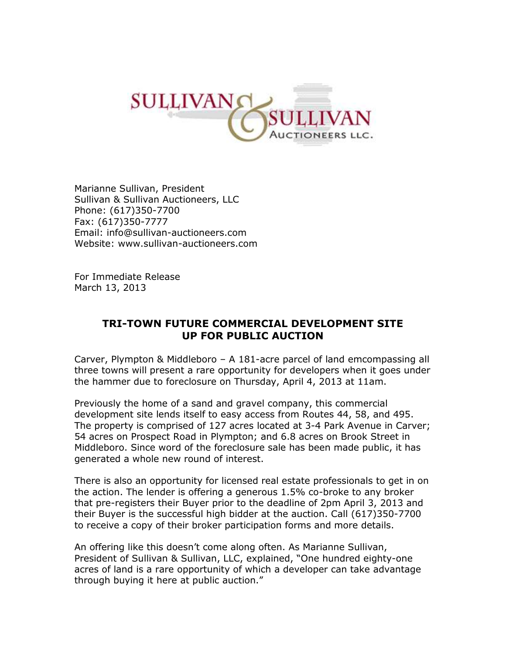

Marianne Sullivan, President Sullivan & Sullivan Auctioneers, LLC Phone: (617)350-7700 Fax: (617)350-7777 Email: [info@sullivan-auctioneers.com](mailto:info@sullivan-auctioneers.com) Website: [www.sullivan-auctioneers.com](http://www.sullivan-auctioneers.com/)

For Immediate Release March 13, 2013

## **TRI-TOWN FUTURE COMMERCIAL DEVELOPMENT SITE UP FOR PUBLIC AUCTION**

Carver, Plympton & Middleboro – A 181-acre parcel of land emcompassing all three towns will present a rare opportunity for developers when it goes under the hammer due to foreclosure on Thursday, April 4, 2013 at 11am.

Previously the home of a sand and gravel company, this commercial development site lends itself to easy access from Routes 44, 58, and 495. The property is comprised of 127 acres located at 3-4 Park Avenue in Carver; 54 acres on Prospect Road in Plympton; and 6.8 acres on Brook Street in Middleboro. Since word of the foreclosure sale has been made public, it has generated a whole new round of interest.

There is also an opportunity for licensed real estate professionals to get in on the action. The lender is offering a generous 1.5% co-broke to any broker that pre-registers their Buyer prior to the deadline of 2pm April 3, 2013 and their Buyer is the successful high bidder at the auction. Call (617)350-7700 to receive a copy of their broker participation forms and more details.

An offering like this doesn't come along often. As Marianne Sullivan, President of Sullivan & Sullivan, LLC, explained, "One hundred eighty-one acres of land is a rare opportunity of which a developer can take advantage through buying it here at public auction."